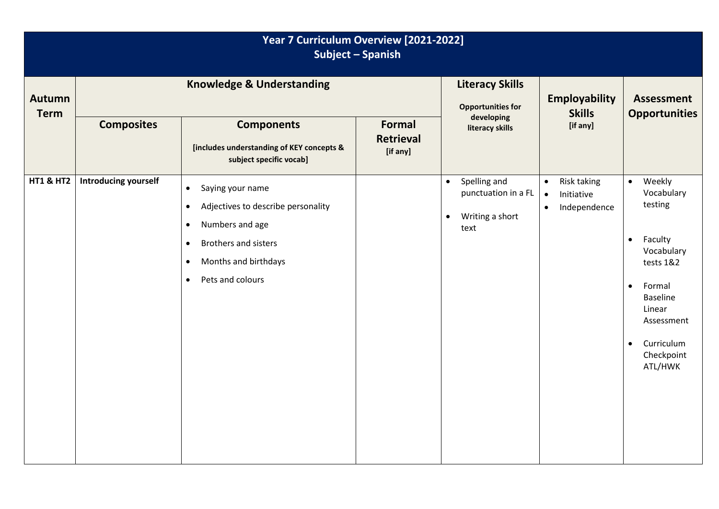| Year 7 Curriculum Overview [2021-2022]<br><b>Subject - Spanish</b> |                                      |                                                                                                                                                                                                                             |                                               |                                                                                          |                                                                                  |                                                                                                                                                                                                                       |
|--------------------------------------------------------------------|--------------------------------------|-----------------------------------------------------------------------------------------------------------------------------------------------------------------------------------------------------------------------------|-----------------------------------------------|------------------------------------------------------------------------------------------|----------------------------------------------------------------------------------|-----------------------------------------------------------------------------------------------------------------------------------------------------------------------------------------------------------------------|
| <b>Autumn</b><br><b>Term</b>                                       | <b>Knowledge &amp; Understanding</b> |                                                                                                                                                                                                                             |                                               | <b>Literacy Skills</b><br><b>Opportunities for</b><br>developing                         | <b>Employability</b><br><b>Skills</b>                                            | <b>Assessment</b><br><b>Opportunities</b>                                                                                                                                                                             |
|                                                                    | <b>Composites</b>                    | <b>Components</b><br>[includes understanding of KEY concepts &<br>subject specific vocab]                                                                                                                                   | <b>Formal</b><br><b>Retrieval</b><br>[if any] | literacy skills                                                                          | [if any]                                                                         |                                                                                                                                                                                                                       |
| <b>HT1 &amp; HT2</b>                                               | <b>Introducing yourself</b>          | Saying your name<br>$\bullet$<br>Adjectives to describe personality<br>$\bullet$<br>Numbers and age<br>$\bullet$<br>Brothers and sisters<br>$\bullet$<br>Months and birthdays<br>$\bullet$<br>Pets and colours<br>$\bullet$ |                                               | Spelling and<br>$\bullet$<br>punctuation in a FL<br>Writing a short<br>$\bullet$<br>text | Risk taking<br>$\bullet$<br>Initiative<br>$\bullet$<br>Independence<br>$\bullet$ | Weekly<br>$\bullet$<br>Vocabulary<br>testing<br>Faculty<br>$\bullet$<br>Vocabulary<br>tests 1&2<br>Formal<br>$\bullet$<br><b>Baseline</b><br>Linear<br>Assessment<br>Curriculum<br>$\bullet$<br>Checkpoint<br>ATL/HWK |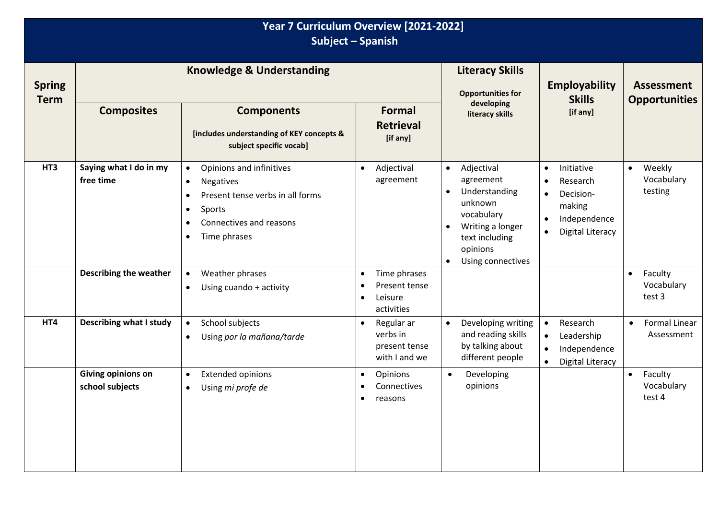| Year 7 Curriculum Overview [2021-2022]<br>Subject - Spanish |                                       |                                                                                                                                                                                                        |                                                                       |                                                                                                                                                                                              |                                                                                                                                                           |                                                 |
|-------------------------------------------------------------|---------------------------------------|--------------------------------------------------------------------------------------------------------------------------------------------------------------------------------------------------------|-----------------------------------------------------------------------|----------------------------------------------------------------------------------------------------------------------------------------------------------------------------------------------|-----------------------------------------------------------------------------------------------------------------------------------------------------------|-------------------------------------------------|
| <b>Spring</b><br><b>Term</b>                                | <b>Knowledge &amp; Understanding</b>  |                                                                                                                                                                                                        |                                                                       | <b>Literacy Skills</b><br><b>Opportunities for</b>                                                                                                                                           | <b>Employability</b><br><b>Skills</b>                                                                                                                     | <b>Assessment</b><br><b>Opportunities</b>       |
|                                                             | <b>Composites</b>                     | <b>Components</b><br>[includes understanding of KEY concepts &<br>subject specific vocab]                                                                                                              | <b>Formal</b><br><b>Retrieval</b><br>[if any]                         | developing<br>literacy skills                                                                                                                                                                | [if any]                                                                                                                                                  |                                                 |
| HT3                                                         | Saying what I do in my<br>free time   | Opinions and infinitives<br>$\bullet$<br><b>Negatives</b><br>$\bullet$<br>Present tense verbs in all forms<br>Sports<br>$\bullet$<br>Connectives and reasons<br>$\bullet$<br>Time phrases<br>$\bullet$ | Adjectival<br>$\bullet$<br>agreement                                  | Adjectival<br>$\bullet$<br>agreement<br>Understanding<br>$\bullet$<br>unknown<br>vocabulary<br>Writing a longer<br>$\bullet$<br>text including<br>opinions<br>Using connectives<br>$\bullet$ | Initiative<br>$\bullet$<br>Research<br>$\bullet$<br>Decision-<br>$\bullet$<br>making<br>Independence<br>$\bullet$<br><b>Digital Literacy</b><br>$\bullet$ | Weekly<br>$\bullet$<br>Vocabulary<br>testing    |
|                                                             | <b>Describing the weather</b>         | Weather phrases<br>$\bullet$<br>Using cuando + activity<br>$\bullet$                                                                                                                                   | Time phrases<br>$\bullet$<br>Present tense<br>Leisure<br>activities   |                                                                                                                                                                                              |                                                                                                                                                           | Faculty<br>$\bullet$<br>Vocabulary<br>test 3    |
| HT4                                                         | <b>Describing what I study</b>        | School subjects<br>$\bullet$<br>Using por la mañana/tarde<br>$\bullet$                                                                                                                                 | Regular ar<br>$\bullet$<br>verbs in<br>present tense<br>with I and we | Developing writing<br>$\bullet$<br>and reading skills<br>by talking about<br>different people                                                                                                | Research<br>$\bullet$<br>Leadership<br>$\bullet$<br>Independence<br>$\bullet$<br><b>Digital Literacy</b><br>$\bullet$                                     | <b>Formal Linear</b><br>$\bullet$<br>Assessment |
|                                                             | Giving opinions on<br>school subjects | <b>Extended opinions</b><br>$\bullet$<br>Using mi profe de<br>$\bullet$                                                                                                                                | Opinions<br>$\bullet$<br>Connectives<br>٠<br>reasons                  | Developing<br>$\bullet$<br>opinions                                                                                                                                                          |                                                                                                                                                           | Faculty<br>$\bullet$<br>Vocabulary<br>test 4    |